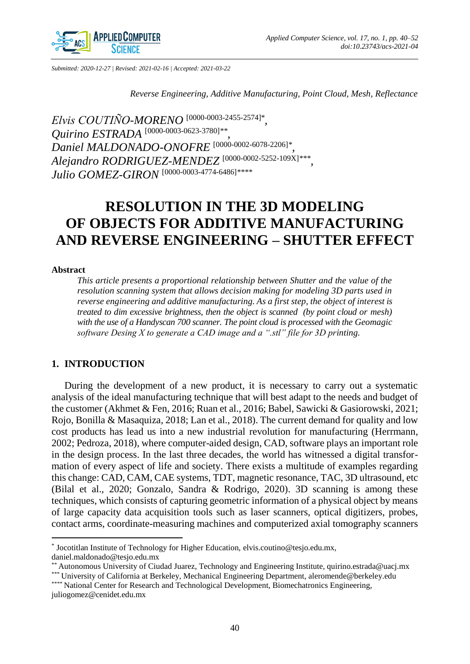

*Submitted: 2020-12-27 | Revised: 2021-02-16 | Accepted: 2021-03-22*

*Reverse Engineering, Additive Manufacturing, Point Cloud, Mesh, Reflectance* 

*Elvis COUTIÑO-MORENO* [\[0000-0003-2455-2574\]](http://orcid.org/0000-0003-2455-2574)\* *, Quirino ESTRADA* [\[0000-0003-0623-3780\]](http://orcid.org/0000-0003-0623-3780)*\*\* , Daniel MALDONADO-ONOFRE* [\[0000-0002-6078-2206\]](http://orcid.org/0000-0002-6078-2206)*\* , Alejandro RODRIGUEZ-MENDEZ* [\[0000-0002-5252-109X\]](http://orcid.org/0000-0002-5252-109X)*\*\*\* , Julio GOMEZ-GIRON* [\[0000-0003-4774-6486\]](http://orcid.org/0000-0003-4774-6486)*\*\*\*\**

# **RESOLUTION IN THE 3D MODELING OF OBJECTS FOR ADDITIVE MANUFACTURING AND REVERSE ENGINEERING – SHUTTER EFFECT**

#### **Abstract**

*This article presents a proportional relationship between Shutter and the value of the resolution scanning system that allows decision making for modeling 3D parts used in reverse engineering and additive manufacturing. As a first step, the object of interest is treated to dim excessive brightness, then the object is scanned (by point cloud or mesh) with the use of a Handyscan 700 scanner. The point cloud is processed with the Geomagic software Desing X to generate a CAD image and a ".stl" file for 3D printing.*

# **1. INTRODUCTION**

During the development of a new product, it is necessary to carry out a systematic analysis of the ideal manufacturing technique that will best adapt to the needs and budget of the customer (Akhmet & Fen, 2016; Ruan et al., 2016; Babel, Sawicki & Gasiorowski, 2021; Rojo, Bonilla & Masaquiza, 2018; Lan et al., 2018). The current demand for quality and low cost products has lead us into a new industrial revolution for manufacturing (Herrmann, 2002; Pedroza, 2018), where computer-aided design, CAD, software plays an important role in the design process. In the last three decades, the world has witnessed a digital transformation of every aspect of life and society. There exists a multitude of examples regarding this change: CAD, CAM, CAE systems, TDT, magnetic resonance, TAC, 3D ultrasound, etc (Bilal et al., 2020; Gonzalo, Sandra & Rodrigo, 2020). 3D scanning is among these techniques, which consists of capturing geometric information of a physical object by means of large capacity data acquisition tools such as laser scanners, optical digitizers, probes, contact arms, coordinate-measuring machines and computerized axial tomography scanners

 $\overline{a}$ \* Jocotitlan Institute of Technology for Higher Education, elvis.coutino@tesjo.edu.mx, daniel.maldonado@tesjo.edu.mx

<sup>\*\*</sup> Autonomous University of Ciudad Juarez, Technology and Engineering Institute, quirino.estrada@uacj.mx

<sup>\*\*\*</sup> University of California at Berkeley, Mechanical Engineering Department, aleromende@berkeley.edu \*\*\*\* National Center for Research and Technological Development, Biomechatronics Engineering,

juliogomez@cenidet.edu.mx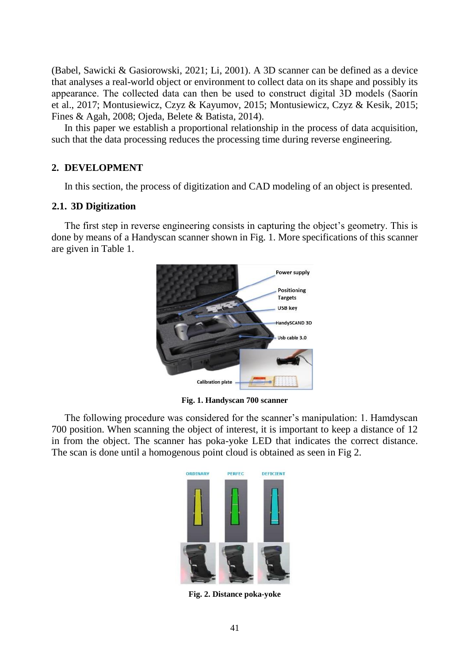(Babel, Sawicki & Gasiorowski, 2021; Li, 2001). A 3D scanner can be defined as a device that analyses a real-world object or environment to collect data on its shape and possibly its appearance. The collected data can then be used to construct digital 3D models (Saorín et al., 2017; Montusiewicz, Czyz & Kayumov, 2015; Montusiewicz, Czyz & Kesik, 2015; Fines & Agah, 2008; Ojeda, Belete & Batista, 2014).

In this paper we establish a proportional relationship in the process of data acquisition, such that the data processing reduces the processing time during reverse engineering.

# **2. DEVELOPMENT**

In this section, the process of digitization and CAD modeling of an object is presented.

## **2.1. 3D Digitization**

The first step in reverse engineering consists in capturing the object's geometry. This is done by means of a Handyscan scanner shown in Fig. 1. More specifications of this scanner are given in Table 1.



**Fig. 1. Handyscan 700 scanner**

The following procedure was considered for the scanner's manipulation: 1. Hamdyscan 700 position. When scanning the object of interest, it is important to keep a distance of 12 in from the object. The scanner has poka-yoke LED that indicates the correct distance. The scan is done until a homogenous point cloud is obtained as seen in Fig 2.



**Fig. 2. Distance poka-yoke**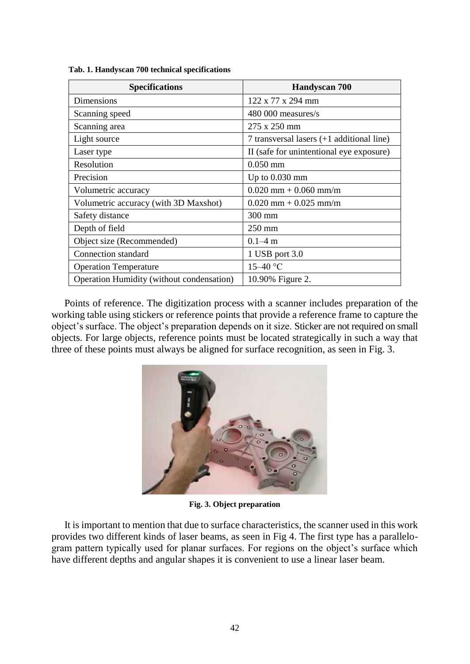| <b>Specifications</b>                            | Handyscan 700                               |  |  |  |
|--------------------------------------------------|---------------------------------------------|--|--|--|
| Dimensions                                       | $122 \times 77 \times 294$ mm               |  |  |  |
| Scanning speed                                   | 480 000 measures/s                          |  |  |  |
| Scanning area                                    | 275 x 250 mm                                |  |  |  |
| Light source                                     | 7 transversal lasers $(+1$ additional line) |  |  |  |
| Laser type                                       | II (safe for unintentional eye exposure)    |  |  |  |
| Resolution                                       | $0.050 \,\mathrm{mm}$                       |  |  |  |
| Precision                                        | Up to $0.030$ mm                            |  |  |  |
| Volumetric accuracy                              | $0.020$ mm + 0.060 mm/m                     |  |  |  |
| Volumetric accuracy (with 3D Maxshot)            | $0.020$ mm + $0.025$ mm/m                   |  |  |  |
| Safety distance                                  | $300 \text{ mm}$                            |  |  |  |
| Depth of field                                   | $250 \text{ mm}$                            |  |  |  |
| Object size (Recommended)                        | $0.1 - 4$ m                                 |  |  |  |
| Connection standard                              | 1 USB port 3.0                              |  |  |  |
| <b>Operation Temperature</b>                     | $15 - 40$ °C                                |  |  |  |
| <b>Operation Humidity (without condensation)</b> | 10.90% Figure 2.                            |  |  |  |

 **Tab. 1. Handyscan 700 technical specifications**

Points of reference. The digitization process with a scanner includes preparation of the working table using stickers or reference points that provide a reference frame to capture the object's surface. The object's preparation depends on it size. Sticker are not required on small objects. For large objects, reference points must be located strategically in such a way that three of these points must always be aligned for surface recognition, as seen in Fig. 3.



**Fig. 3. Object preparation**

It is important to mention that due to surface characteristics, the scanner used in this work provides two different kinds of laser beams, as seen in Fig 4. The first type has a parallelogram pattern typically used for planar surfaces. For regions on the object's surface which have different depths and angular shapes it is convenient to use a linear laser beam.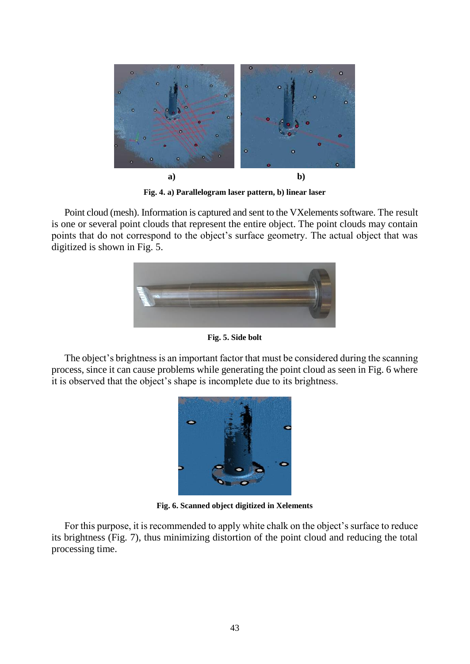

**Fig. 4. a) Parallelogram laser pattern, b) linear laser**

Point cloud (mesh). Information is captured and sent to the VXelements software. The result is one or several point clouds that represent the entire object. The point clouds may contain points that do not correspond to the object's surface geometry. The actual object that was digitized is shown in Fig. 5.



**Fig. 5. Side bolt**

The object's brightness is an important factor that must be considered during the scanning process, since it can cause problems while generating the point cloud as seen in Fig. 6 where it is observed that the object's shape is incomplete due to its brightness.



**Fig. 6. Scanned object digitized in Xelements**

For this purpose, it is recommended to apply white chalk on the object's surface to reduce its brightness (Fig. 7), thus minimizing distortion of the point cloud and reducing the total processing time.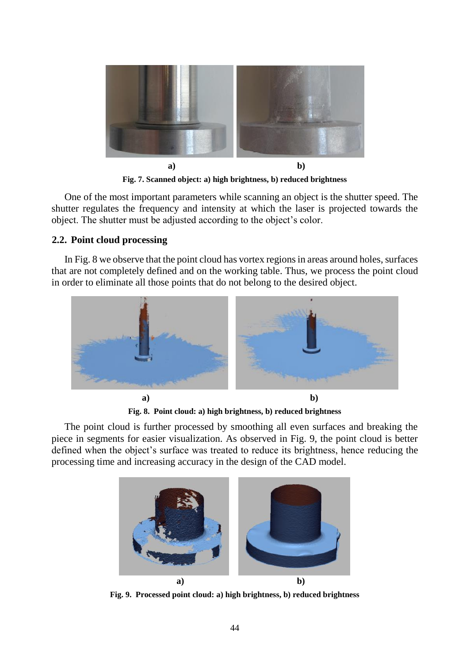

**Fig. 7. Scanned object: a) high brightness, b) reduced brightness**

One of the most important parameters while scanning an object is the shutter speed. The shutter regulates the frequency and intensity at which the laser is projected towards the object. The shutter must be adjusted according to the object's color.

# **2.2. Point cloud processing**

In Fig. 8 we observe that the point cloud has vortex regions in areas around holes, surfaces that are not completely defined and on the working table. Thus, we process the point cloud in order to eliminate all those points that do not belong to the desired object.



**Fig. 8. Point cloud: a) high brightness, b) reduced brightness**

The point cloud is further processed by smoothing all even surfaces and breaking the piece in segments for easier visualization. As observed in Fig. 9, the point cloud is better defined when the object's surface was treated to reduce its brightness, hence reducing the processing time and increasing accuracy in the design of the CAD model.



**Fig. 9. Processed point cloud: a) high brightness, b) reduced brightness**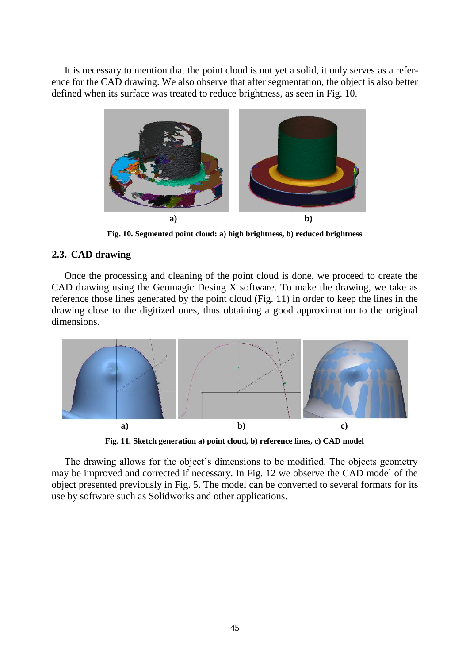It is necessary to mention that the point cloud is not yet a solid, it only serves as a reference for the CAD drawing. We also observe that after segmentation, the object is also better defined when its surface was treated to reduce brightness, as seen in Fig. 10.



**Fig. 10. Segmented point cloud: a) high brightness, b) reduced brightness**

## **2.3. CAD drawing**

Once the processing and cleaning of the point cloud is done, we proceed to create the CAD drawing using the Geomagic Desing X software. To make the drawing, we take as reference those lines generated by the point cloud (Fig. 11) in order to keep the lines in the drawing close to the digitized ones, thus obtaining a good approximation to the original dimensions.



**Fig. 11. Sketch generation a) point cloud, b) reference lines, c) CAD model**

The drawing allows for the object's dimensions to be modified. The objects geometry may be improved and corrected if necessary. In Fig. 12 we observe the CAD model of the object presented previously in Fig. 5. The model can be converted to several formats for its use by software such as Solidworks and other applications.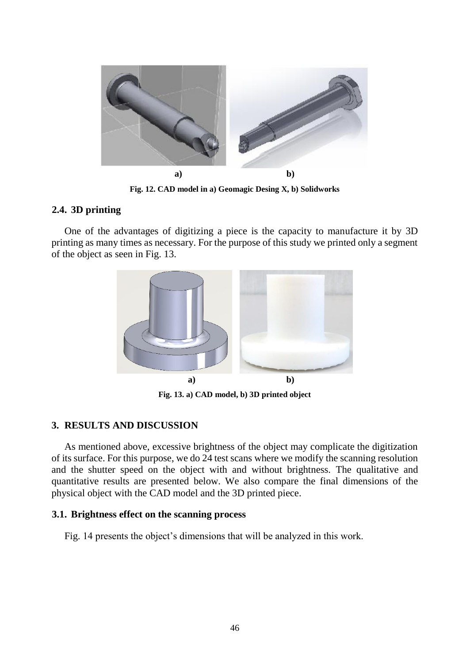

**Fig. 12. CAD model in a) Geomagic Desing X, b) Solidworks**

## **2.4. 3D printing**

One of the advantages of digitizing a piece is the capacity to manufacture it by 3D printing as many times as necessary. For the purpose of this study we printed only a segment of the object as seen in Fig. 13.



**Fig. 13. a) CAD model, b) 3D printed object**

## **3. RESULTS AND DISCUSSION**

As mentioned above, excessive brightness of the object may complicate the digitization of its surface. For this purpose, we do 24 test scans where we modify the scanning resolution and the shutter speed on the object with and without brightness. The qualitative and quantitative results are presented below. We also compare the final dimensions of the physical object with the CAD model and the 3D printed piece.

## **3.1. Brightness effect on the scanning process**

Fig. 14 presents the object's dimensions that will be analyzed in this work.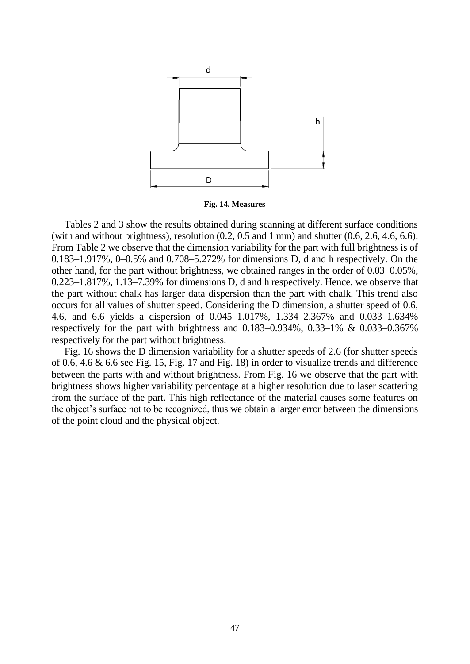

**Fig. 14. Measures**

Tables 2 and 3 show the results obtained during scanning at different surface conditions (with and without brightness), resolution  $(0.2, 0.5$  and 1 mm) and shutter  $(0.6, 2.6, 4.6, 6.6)$ . From Table 2 we observe that the dimension variability for the part with full brightness is of 0.183–1.917%, 0–0.5% and 0.708–5.272% for dimensions D, d and h respectively. On the other hand, for the part without brightness, we obtained ranges in the order of 0.03–0.05%, 0.223–1.817%, 1.13–7.39% for dimensions D, d and h respectively. Hence, we observe that the part without chalk has larger data dispersion than the part with chalk. This trend also occurs for all values of shutter speed. Considering the D dimension, a shutter speed of 0.6, 4.6, and 6.6 yields a dispersion of 0.045–1.017%, 1.334–2.367% and 0.033–1.634% respectively for the part with brightness and 0.183–0.934%, 0.33–1% & 0.033–0.367% respectively for the part without brightness.

Fig. 16 shows the D dimension variability for a shutter speeds of 2.6 (for shutter speeds of 0.6, 4.6  $\&$  6.6 see Fig. 15, Fig. 17 and Fig. 18) in order to visualize trends and difference between the parts with and without brightness. From Fig. 16 we observe that the part with brightness shows higher variability percentage at a higher resolution due to laser scattering from the surface of the part. This high reflectance of the material causes some features on the object's surface not to be recognized, thus we obtain a larger error between the dimensions of the point cloud and the physical object.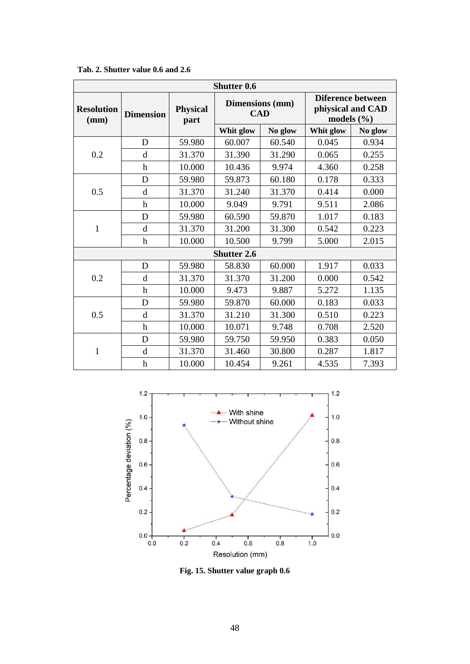| Shutter 0.6               |                           |                         |                               |         |                                                          |         |  |  |
|---------------------------|---------------------------|-------------------------|-------------------------------|---------|----------------------------------------------------------|---------|--|--|
| <b>Resolution</b><br>(mm) | <b>Dimension</b>          | <b>Physical</b><br>part | Dimensions (mm)<br><b>CAD</b> |         | Diference between<br>phiysical and CAD<br>models $(\% )$ |         |  |  |
|                           |                           |                         | Whit glow                     | No glow | Whit glow                                                | No glow |  |  |
| 0.2                       | D                         | 59.980                  | 60.007                        | 60.540  | 0.045                                                    | 0.934   |  |  |
|                           | d                         | 31.370                  | 31.390                        | 31.290  | 0.065                                                    | 0.255   |  |  |
|                           | h                         | 10.000                  | 10.436                        | 9.974   | 4.360                                                    | 0.258   |  |  |
| 0.5                       | D                         | 59.980                  | 59.873                        | 60.180  | 0.178                                                    | 0.333   |  |  |
|                           | d                         | 31.370                  | 31.240                        | 31.370  | 0.414                                                    | 0.000   |  |  |
|                           | $\mathbf h$               | 10.000                  | 9.049                         | 9.791   | 9.511                                                    | 2.086   |  |  |
| 1                         | D                         | 59.980                  | 60.590                        | 59.870  | 1.017                                                    | 0.183   |  |  |
|                           | d                         | 31.370                  | 31.200                        | 31.300  | 0.542                                                    | 0.223   |  |  |
|                           | $\boldsymbol{\mathrm{h}}$ | 10.000                  | 10.500                        | 9.799   | 5.000                                                    | 2.015   |  |  |
| <b>Shutter 2.6</b>        |                           |                         |                               |         |                                                          |         |  |  |
| 0.2                       | D                         | 59.980                  | 58.830                        | 60.000  | 1.917                                                    | 0.033   |  |  |
|                           | d                         | 31.370                  | 31.370                        | 31.200  | 0.000                                                    | 0.542   |  |  |
|                           | $\mathbf h$               | 10.000                  | 9.473                         | 9.887   | 5.272                                                    | 1.135   |  |  |
| 0.5                       | D                         | 59.980                  | 59.870                        | 60.000  | 0.183                                                    | 0.033   |  |  |
|                           | d                         | 31.370                  | 31.210                        | 31.300  | 0.510                                                    | 0.223   |  |  |
|                           | $\boldsymbol{\mathrm{h}}$ | 10.000                  | 10.071                        | 9.748   | 0.708                                                    | 2.520   |  |  |
| $\mathbf{1}$              | D                         | 59.980                  | 59.750                        | 59.950  | 0.383                                                    | 0.050   |  |  |
|                           | d                         | 31.370                  | 31.460                        | 30.800  | 0.287                                                    | 1.817   |  |  |
|                           | h                         | 10.000                  | 10.454                        | 9.261   | 4.535                                                    | 7.393   |  |  |

**Tab. 2. Shutter value 0.6 and 2.6**



**Fig. 15. Shutter value graph 0.6**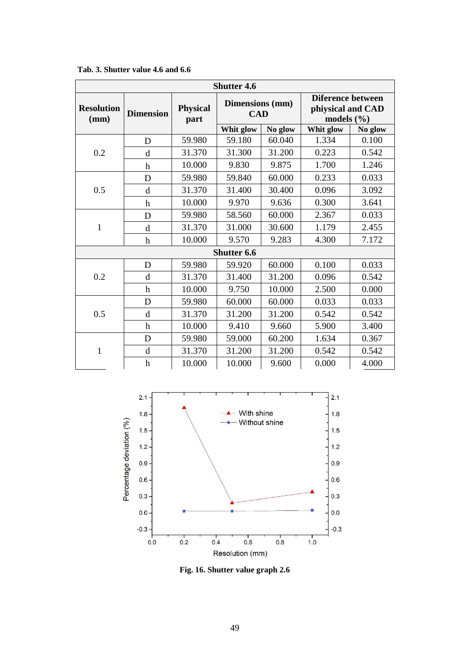| <b>Shutter 4.6</b>        |                  |                         |                               |         |                                                          |         |  |  |
|---------------------------|------------------|-------------------------|-------------------------------|---------|----------------------------------------------------------|---------|--|--|
| <b>Resolution</b><br>(mm) | <b>Dimension</b> | <b>Physical</b><br>part | Dimensions (mm)<br><b>CAD</b> |         | Diference between<br>phiysical and CAD<br>models $(\% )$ |         |  |  |
|                           |                  |                         | Whit glow                     | No glow | Whit glow                                                | No glow |  |  |
| 0.2                       | D                | 59.980                  | 59.180                        | 60.040  | 1.334                                                    | 0.100   |  |  |
|                           | d                | 31.370                  | 31.300                        | 31.200  | 0.223                                                    | 0.542   |  |  |
|                           | h                | 10.000                  | 9.830                         | 9.875   | 1.700                                                    | 1.246   |  |  |
| 0.5                       | D                | 59.980                  | 59.840                        | 60.000  | 0.233                                                    | 0.033   |  |  |
|                           | d                | 31.370                  | 31.400                        | 30.400  | 0.096                                                    | 3.092   |  |  |
|                           | h                | 10.000                  | 9.970                         | 9.636   | 0.300                                                    | 3.641   |  |  |
| 1                         | D                | 59.980                  | 58.560                        | 60.000  | 2.367                                                    | 0.033   |  |  |
|                           | d                | 31.370                  | 31.000                        | 30.600  | 1.179                                                    | 2.455   |  |  |
|                           | h                | 10.000                  | 9.570                         | 9.283   | 4.300                                                    | 7.172   |  |  |
| <b>Shutter 6.6</b>        |                  |                         |                               |         |                                                          |         |  |  |
| 0.2                       | D                | 59.980                  | 59.920                        | 60.000  | 0.100                                                    | 0.033   |  |  |
|                           | d                | 31.370                  | 31.400                        | 31.200  | 0.096                                                    | 0.542   |  |  |
|                           | h                | 10.000                  | 9.750                         | 10.000  | 2.500                                                    | 0.000   |  |  |
| 0.5                       | D                | 59.980                  | 60.000                        | 60.000  | 0.033                                                    | 0.033   |  |  |
|                           | d                | 31.370                  | 31.200                        | 31.200  | 0.542                                                    | 0.542   |  |  |
|                           | h                | 10.000                  | 9.410                         | 9.660   | 5.900                                                    | 3.400   |  |  |
| 1                         | D                | 59.980                  | 59.000                        | 60.200  | 1.634                                                    | 0.367   |  |  |
|                           | $\mathbf d$      | 31.370                  | 31.200                        | 31.200  | 0.542                                                    | 0.542   |  |  |
|                           | h                | 10.000                  | 10.000                        | 9.600   | 0.000                                                    | 4.000   |  |  |

**Tab. 3. Shutter value 4.6 and 6.6**



**Fig. 16. Shutter value graph 2.6**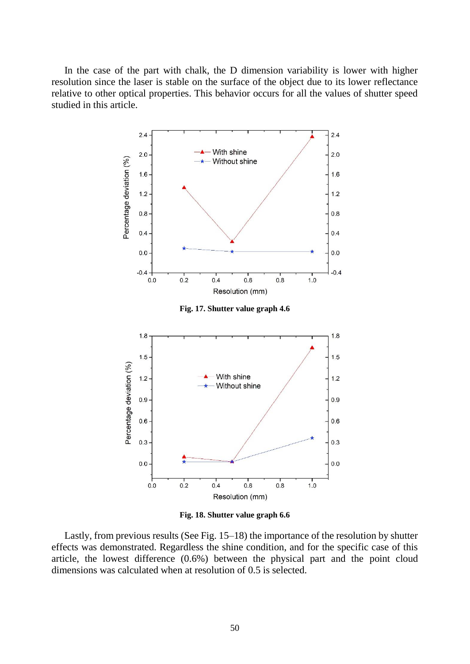In the case of the part with chalk, the D dimension variability is lower with higher resolution since the laser is stable on the surface of the object due to its lower reflectance relative to other optical properties. This behavior occurs for all the values of shutter speed studied in this article.



**Fig. 18. Shutter value graph 6.6**

Lastly, from previous results (See Fig. 15–18) the importance of the resolution by shutter effects was demonstrated. Regardless the shine condition, and for the specific case of this article, the lowest difference (0.6%) between the physical part and the point cloud dimensions was calculated when at resolution of 0.5 is selected.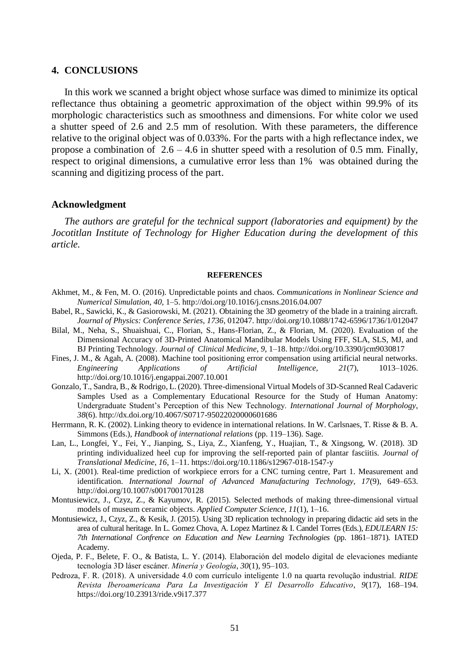#### **4. CONCLUSIONS**

In this work we scanned a bright object whose surface was dimed to minimize its optical reflectance thus obtaining a geometric approximation of the object within 99.9% of its morphologic characteristics such as smoothness and dimensions. For white color we used a shutter speed of 2.6 and 2.5 mm of resolution. With these parameters, the difference relative to the original object was of 0.033%. For the parts with a high reflectance index, we propose a combination of  $2.6 - 4.6$  in shutter speed with a resolution of 0.5 mm. Finally, respect to original dimensions, a cumulative error less than 1% was obtained during the scanning and digitizing process of the part.

#### **Acknowledgment**

*The authors are grateful for the technical support (laboratories and equipment) by the Jocotitlan Institute of Technology for Higher Education during the development of this article.*

#### **REFERENCES**

- Akhmet, M., & Fen, M. O. (2016). Unpredictable points and chaos. *Communications in Nonlinear Science and Numerical Simulation*, *40*, 1–5. http://doi.org/10.1016/j.cnsns.2016.04.007
- Babel, R., Sawicki, K., & Gasiorowski, M. (2021). Obtaining the 3D geometry of the blade in a training aircraft*. Journal of Physics: Conference Series*, *1736*, 012047. http://doi.org/10.1088/1742-6596/1736/1/012047
- Bilal, M., Neha, S., Shuaishuai, C., Florian, S., Hans-Florian, Z., & Florian, M. (2020). Evaluation of the Dimensional Accuracy of 3D-Printed Anatomical Mandibular Models Using FFF, SLA, SLS, MJ, and BJ Printing Technology. *Journal of Clinical Medicine*, *9*, 1–18. http://doi.org/10.3390/jcm9030817
- Fines, J. M., & Agah, A. (2008). Machine tool positioning error compensation using artificial neural networks.<br> *Engineering Applications of Artificial Intelligence*, 21(7), 1013–1026. *Engineering Applications of Artificial Intelligence, 21*(7), 1013–1026. http://doi.org/10.1016/j.engappai.2007.10.001
- Gonzalo, T., Sandra, B., & Rodrigo, L. (2020). Three-dimensional Virtual Models of 3D-Scanned Real Cadaveric Samples Used as a Complementary Educational Resource for the Study of Human Anatomy: Undergraduate Student's Perception of this New Technology. *International Journal of Morphology*, *38*(6). http://dx.doi.org/10.4067/S0717-95022020000601686
- Herrmann, R. K. (2002). Linking theory to evidence in international relations. In W. Carlsnaes, T. Risse & B. A. Simmons (Eds.), *Handbook of international relations* (pp. 119–136). Sage.
- Lan, L., Longfei, Y., Fei, Y., Jianping, S., Liya, Z., Xianfeng, Y., Huajian, T., & Xingsong, W. (2018). 3D printing individualized heel cup for improving the self-reported pain of plantar fasciitis. *Journal of Translational Medicine*, *16*, 1–11. https://doi.org/10.1186/s12967-018-1547-y
- Li, X. (2001). Real-time prediction of workpiece errors for a CNC turning centre, Part 1. Measurement and identification. *International Journal of Advanced Manufacturing Technology, 17*(9), 649–653. http://doi.org/10.1007/s001700170128
- Montusiewicz, J., Czyz, Z., & Kayumov, R. (2015). Selected methods of making three-dimensional virtual models of museum ceramic objects. *Applied Computer Science*, *11*(1), 1–16.
- Montusiewicz, J., Czyz, Z., & Kesik, J. (2015). Using 3D replication technology in preparing didactic aid sets in the area of cultural heritage. In L. Gomez Chova, A. Lopez Martinez & I. Candel Torres (Eds.), *EDULEARN 15: 7th International Confrence on Education and New Learning Technologies* (pp. 1861–1871)*.* IATED Academy.
- Ojeda, P. F., Belete, F. O., & Batista, L. Y. (2014). Elaboración del modelo digital de elevaciones mediante tecnología 3D láser escáner. *Minería y Geología*, *30*(1), 95–103.
- Pedroza, F. R. (2018). A universidade 4.0 com currículo inteligente 1.0 na quarta revolução industrial. *RIDE Revista Iberoamericana Para La Investigación Y El Desarrollo Educativo*, *9*(17), 168–194. https://doi.org/10.23913/ride.v9i17.377